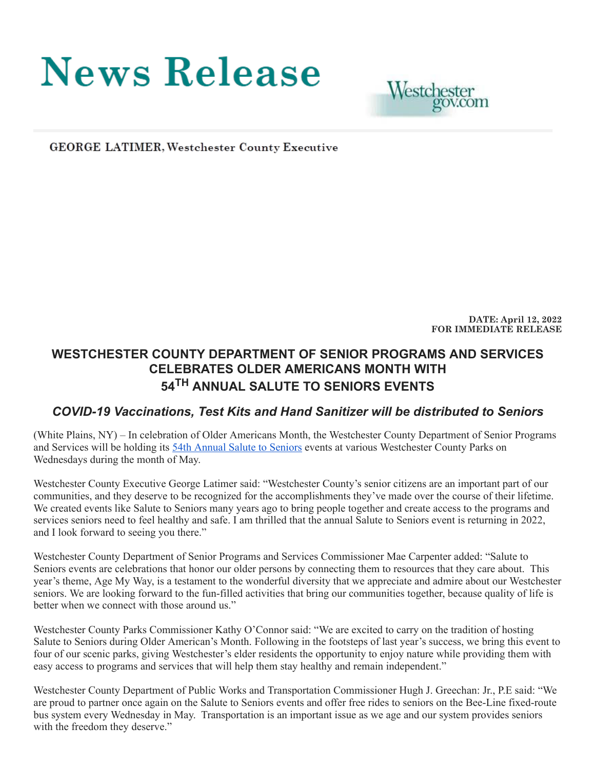# **News Release**



**GEORGE LATIMER, Westchester County Executive** 

**DATE: April 12, 2022 FOR IMMEDIATE RELEASE**

## **WESTCHESTER COUNTY DEPARTMENT OF SENIOR PROGRAMS AND SERVICES CELEBRATES OLDER AMERICANS MONTH WITH 54 TH ANNUAL SALUTE TO SENIORS EVENTS**

## *COVID-19 Vaccinations, Test Kits and Hand Sanitizer will be distributed to Seniors*

(White Plains, NY) – In celebration of Older Americans Month, the Westchester County Department of Senior Programs and Services will be holding its [54th Annual Salute to Seniors](https://seniorcitizens.westchestergov.com/news-and-events/salute-to-seniors) events at various Westchester County Parks on Wednesdays during the month of May.

Westchester County Executive George Latimer said: "Westchester County's senior citizens are an important part of our communities, and they deserve to be recognized for the accomplishments they've made over the course of their lifetime. We created events like Salute to Seniors many years ago to bring people together and create access to the programs and services seniors need to feel healthy and safe. I am thrilled that the annual Salute to Seniors event is returning in 2022, and I look forward to seeing you there."

Westchester County Department of Senior Programs and Services Commissioner Mae Carpenter added: "Salute to Seniors events are celebrations that honor our older persons by connecting them to resources that they care about. This year's theme, Age My Way, is a testament to the wonderful diversity that we appreciate and admire about our Westchester seniors. We are looking forward to the fun-filled activities that bring our communities together, because quality of life is better when we connect with those around us."

Westchester County Parks Commissioner Kathy O'Connor said: "We are excited to carry on the tradition of hosting Salute to Seniors during Older American's Month. Following in the footsteps of last year's success, we bring this event to four of our scenic parks, giving Westchester's elder residents the opportunity to enjoy nature while providing them with easy access to programs and services that will help them stay healthy and remain independent."

Westchester County Department of Public Works and Transportation Commissioner Hugh J. Greechan: Jr., P.E said: "We are proud to partner once again on the Salute to Seniors events and offer free rides to seniors on the Bee-Line fixed-route bus system every Wednesday in May. Transportation is an important issue as we age and our system provides seniors with the freedom they deserve."